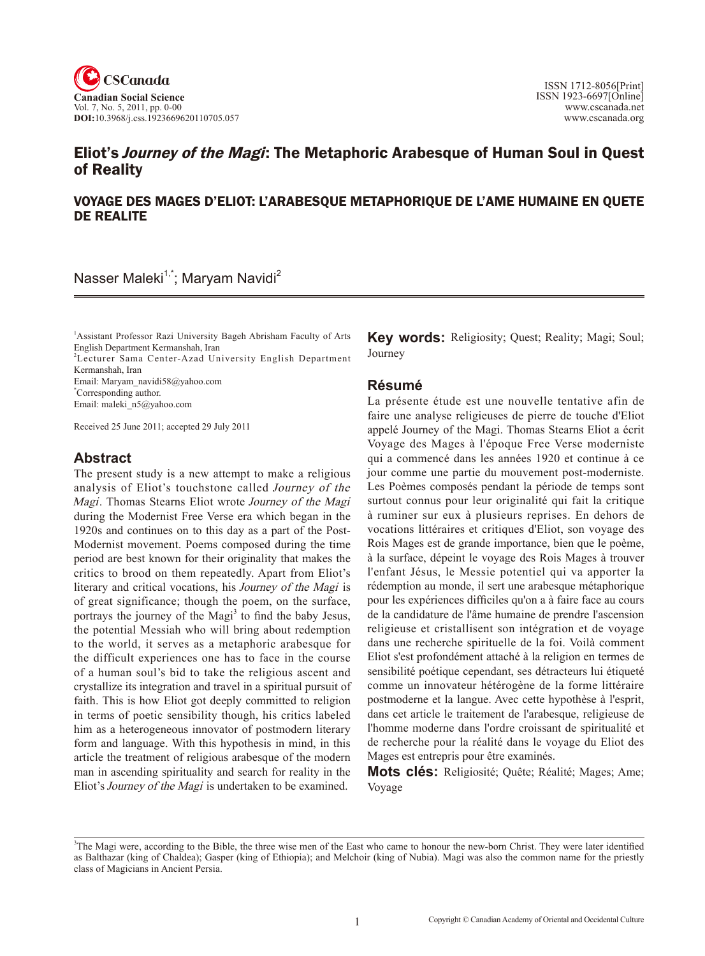

# Eliot's *Journey of the Magi*: The Metaphoric Arabesque of Human Soul in Quest of Reality

### VOYAGE DES MAGES D'ELIOT: L'ARABESQUE METAPHORIQUE DE L'AME HUMAINE EN QUETE DE REALITE

Nasser Maleki<sup>1,\*</sup>; Maryam Navidi<sup>2</sup>

<sup>1</sup> Assistant Professor Razi University Bageh Abrisham Faculty of Arts English Department Kermanshah, Iran

2 Lecturer Sama Center-Azad University English Department Kermanshah, Iran

Email: Maryam\_navidi58@yahoo.com

\* Corresponding author.

Email: maleki\_n5@yahoo.com

Received 25 June 2011; accepted 29 July 2011

### **Abstract**

The present study is a new attempt to make a religious analysis of Eliot's touchstone called Journey of the Magi. Thomas Stearns Eliot wrote Journey of the Magi during the Modernist Free Verse era which began in the 1920s and continues on to this day as a part of the Post-Modernist movement. Poems composed during the time period are best known for their originality that makes the critics to brood on them repeatedly. Apart from Eliot's literary and critical vocations, his Journey of the Magi is of great significance; though the poem, on the surface, portrays the journey of the Magi<sup>3</sup> to find the baby Jesus, the potential Messiah who will bring about redemption to the world, it serves as a metaphoric arabesque for the difficult experiences one has to face in the course of a human soul's bid to take the religious ascent and crystallize its integration and travel in a spiritual pursuit of faith. This is how Eliot got deeply committed to religion in terms of poetic sensibility though, his critics labeled him as a heterogeneous innovator of postmodern literary form and language. With this hypothesis in mind, in this article the treatment of religious arabesque of the modern man in ascending spirituality and search for reality in the Eliot's Journey of the Magi is undertaken to be examined.

**Key words:** Religiosity; Quest; Reality; Magi; Soul; **Journey** 

#### **Résumé**

La présente étude est une nouvelle tentative afin de faire une analyse religieuses de pierre de touche d'Eliot appelé Journey of the Magi. Thomas Stearns Eliot a écrit Voyage des Mages à l'époque Free Verse moderniste qui a commencé dans les années 1920 et continue à ce jour comme une partie du mouvement post-moderniste. Les Poèmes composés pendant la période de temps sont surtout connus pour leur originalité qui fait la critique à ruminer sur eux à plusieurs reprises. En dehors de vocations littéraires et critiques d'Eliot, son voyage des Rois Mages est de grande importance, bien que le poème, à la surface, dépeint le voyage des Rois Mages à trouver l'enfant Jésus, le Messie potentiel qui va apporter la rédemption au monde, il sert une arabesque métaphorique pour les expériences difficiles qu'on a à faire face au cours de la candidature de l'âme humaine de prendre l'ascension religieuse et cristallisent son intégration et de voyage dans une recherche spirituelle de la foi. Voilà comment Eliot s'est profondément attaché à la religion en termes de sensibilité poétique cependant, ses détracteurs lui étiqueté comme un innovateur hétérogène de la forme littéraire postmoderne et la langue. Avec cette hypothèse à l'esprit, dans cet article le traitement de l'arabesque, religieuse de l'homme moderne dans l'ordre croissant de spiritualité et de recherche pour la réalité dans le voyage du Eliot des Mages est entrepris pour être examinés.

**Mots clés:** Religiosité; Quête; Réalité; Mages; Ame; Voyage

<sup>&</sup>lt;sup>3</sup>The Magi were, according to the Bible, the three wise men of the East who came to honour the new-born Christ. They were later identified as Balthazar (king of Chaldea); Gasper (king of Ethiopia); and Melchoir (king of Nubia). Magi was also the common name for the priestly class of Magicians in Ancient Persia.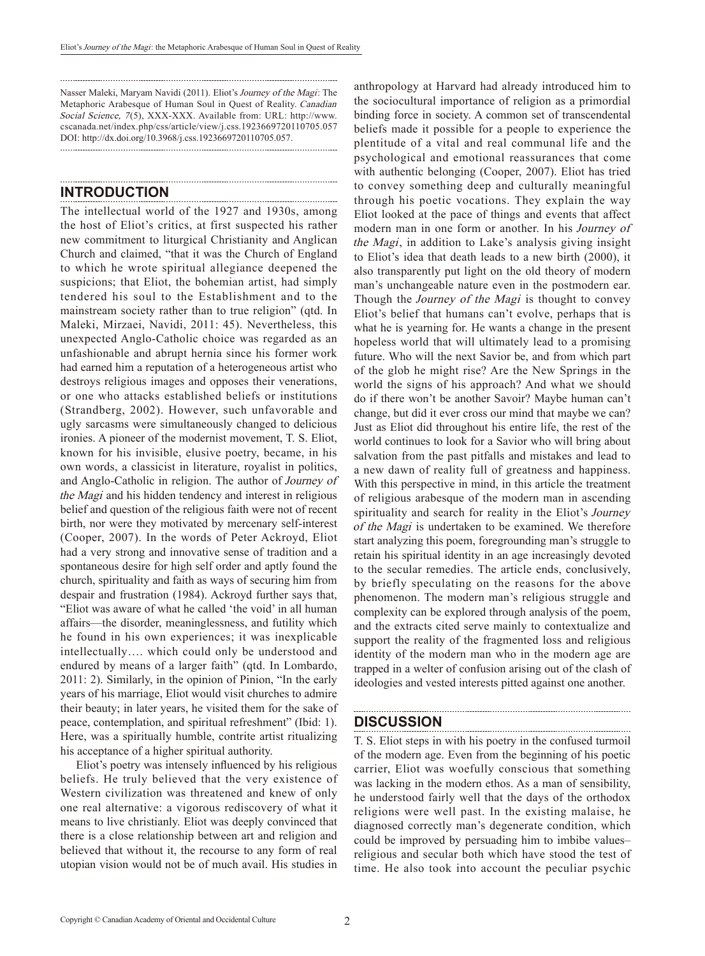Nasser Maleki, Maryam Navidi (2011). Eliot's Journey of the Magi: The Metaphoric Arabesque of Human Soul in Quest of Reality. Canadian Social Science, 7(5), XXX-XXX. Available from: URL: http://www. cscanada.net/index.php/css/article/view/j.css.1923669720110705.057 DOI: http://dx.doi.org/10.3968/j.css.1923669720110705.057. 

### **Introduction**

The intellectual world of the 1927 and 1930s, among the host of Eliot's critics, at first suspected his rather new commitment to liturgical Christianity and Anglican Church and claimed, "that it was the Church of England to which he wrote spiritual allegiance deepened the suspicions; that Eliot, the bohemian artist, had simply tendered his soul to the Establishment and to the mainstream society rather than to true religion" (qtd. In Maleki, Mirzaei, Navidi, 2011: 45). Nevertheless, this unexpected Anglo-Catholic choice was regarded as an unfashionable and abrupt hernia since his former work had earned him a reputation of a heterogeneous artist who destroys religious images and opposes their venerations, or one who attacks established beliefs or institutions (Strandberg, 2002). However, such unfavorable and ugly sarcasms were simultaneously changed to delicious ironies. A pioneer of the modernist movement, T. S. Eliot, known for his invisible, elusive poetry, became, in his own words, a classicist in literature, royalist in politics, and Anglo-Catholic in religion. The author of Journey of the Magi and his hidden tendency and interest in religious belief and question of the religious faith were not of recent birth, nor were they motivated by mercenary self-interest (Cooper, 2007). In the words of Peter Ackroyd, Eliot had a very strong and innovative sense of tradition and a spontaneous desire for high self order and aptly found the church, spirituality and faith as ways of securing him from despair and frustration (1984). Ackroyd further says that, "Eliot was aware of what he called 'the void' in all human affairs—the disorder, meaninglessness, and futility which he found in his own experiences; it was inexplicable intellectually…. which could only be understood and endured by means of a larger faith" (qtd. In Lombardo, 2011: 2). Similarly, in the opinion of Pinion, "In the early years of his marriage, Eliot would visit churches to admire their beauty; in later years, he visited them for the sake of peace, contemplation, and spiritual refreshment" (Ibid: 1). Here, was a spiritually humble, contrite artist ritualizing his acceptance of a higher spiritual authority.

Eliot's poetry was intensely influenced by his religious beliefs. He truly believed that the very existence of Western civilization was threatened and knew of only one real alternative: a vigorous rediscovery of what it means to live christianly. Eliot was deeply convinced that there is a close relationship between art and religion and believed that without it, the recourse to any form of real utopian vision would not be of much avail. His studies in

anthropology at Harvard had already introduced him to the sociocultural importance of religion as a primordial binding force in society. A common set of transcendental beliefs made it possible for a people to experience the plentitude of a vital and real communal life and the psychological and emotional reassurances that come with authentic belonging (Cooper, 2007). Eliot has tried to convey something deep and culturally meaningful through his poetic vocations. They explain the way Eliot looked at the pace of things and events that affect modern man in one form or another. In his Journey of the Magi, in addition to Lake's analysis giving insight to Eliot's idea that death leads to a new birth (2000), it also transparently put light on the old theory of modern man's unchangeable nature even in the postmodern ear. Though the *Journey of the Magi* is thought to convey Eliot's belief that humans can't evolve, perhaps that is what he is yearning for. He wants a change in the present hopeless world that will ultimately lead to a promising future. Who will the next Savior be, and from which part of the glob he might rise? Are the New Springs in the world the signs of his approach? And what we should do if there won't be another Savoir? Maybe human can't change, but did it ever cross our mind that maybe we can? Just as Eliot did throughout his entire life, the rest of the world continues to look for a Savior who will bring about salvation from the past pitfalls and mistakes and lead to a new dawn of reality full of greatness and happiness. With this perspective in mind, in this article the treatment of religious arabesque of the modern man in ascending spirituality and search for reality in the Eliot's Journey of the Magi is undertaken to be examined. We therefore start analyzing this poem, foregrounding man's struggle to retain his spiritual identity in an age increasingly devoted to the secular remedies. The article ends, conclusively, by briefly speculating on the reasons for the above phenomenon. The modern man's religious struggle and complexity can be explored through analysis of the poem, and the extracts cited serve mainly to contextualize and support the reality of the fragmented loss and religious identity of the modern man who in the modern age are trapped in a welter of confusion arising out of the clash of ideologies and vested interests pitted against one another.

#### **DISCUSSION**

T. S. Eliot steps in with his poetry in the confused turmoil of the modern age. Even from the beginning of his poetic carrier, Eliot was woefully conscious that something was lacking in the modern ethos. As a man of sensibility, he understood fairly well that the days of the orthodox religions were well past. In the existing malaise, he diagnosed correctly man's degenerate condition, which could be improved by persuading him to imbibe values– religious and secular both which have stood the test of time. He also took into account the peculiar psychic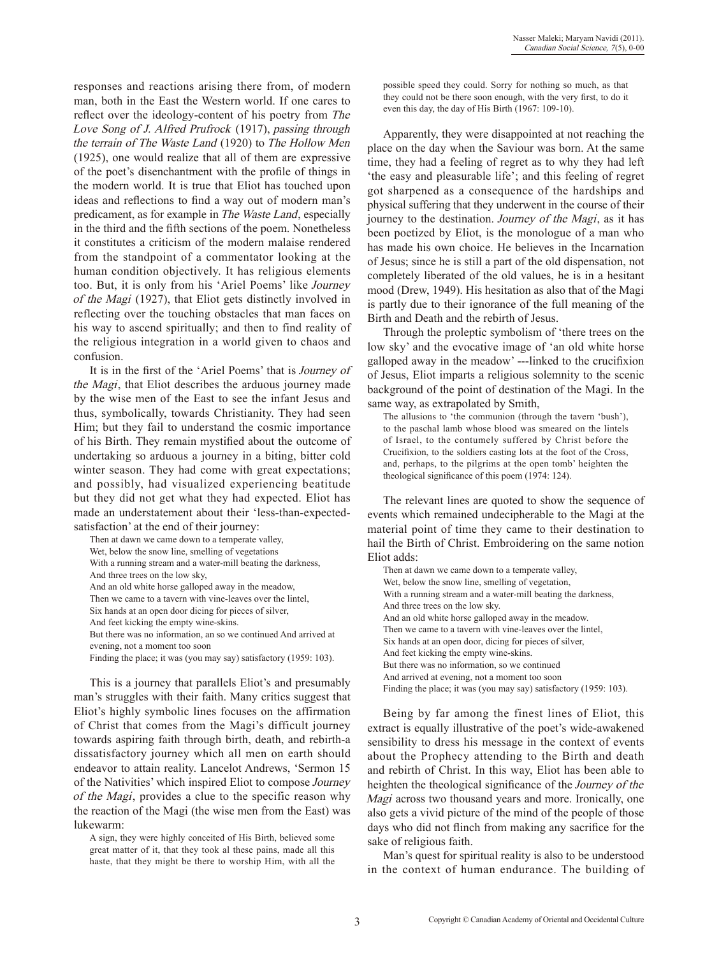responses and reactions arising there from, of modern man, both in the East the Western world. If one cares to reflect over the ideology-content of his poetry from The Love Song of J. Alfred Prufrock (1917), passing through the terrain of The Waste Land (1920) to The Hollow Men (1925), one would realize that all of them are expressive of the poet's disenchantment with the profile of things in the modern world. It is true that Eliot has touched upon ideas and reflections to find a way out of modern man's predicament, as for example in The Waste Land, especially in the third and the fifth sections of the poem. Nonetheless it constitutes a criticism of the modern malaise rendered from the standpoint of a commentator looking at the human condition objectively. It has religious elements too. But, it is only from his 'Ariel Poems' like Journey of the Magi (1927), that Eliot gets distinctly involved in reflecting over the touching obstacles that man faces on his way to ascend spiritually; and then to find reality of the religious integration in a world given to chaos and confusion.

It is in the first of the 'Ariel Poems' that is Journey of the Magi, that Eliot describes the arduous journey made by the wise men of the East to see the infant Jesus and thus, symbolically, towards Christianity. They had seen Him; but they fail to understand the cosmic importance of his Birth. They remain mystified about the outcome of undertaking so arduous a journey in a biting, bitter cold winter season. They had come with great expectations; and possibly, had visualized experiencing beatitude but they did not get what they had expected. Eliot has made an understatement about their 'less-than-expectedsatisfaction' at the end of their journey:

Then at dawn we came down to a temperate valley, Wet, below the snow line, smelling of vegetations With a running stream and a water-mill beating the darkness, And three trees on the low sky, And an old white horse galloped away in the meadow, Then we came to a tavern with vine-leaves over the lintel, Six hands at an open door dicing for pieces of silver, And feet kicking the empty wine-skins. But there was no information, an so we continued And arrived at evening, not a moment too soon Finding the place; it was (you may say) satisfactory (1959: 103).

This is a journey that parallels Eliot's and presumably man's struggles with their faith. Many critics suggest that Eliot's highly symbolic lines focuses on the affirmation of Christ that comes from the Magi's difficult journey towards aspiring faith through birth, death, and rebirth-a dissatisfactory journey which all men on earth should endeavor to attain reality. Lancelot Andrews, 'Sermon 15 of the Nativities' which inspired Eliot to compose Journey of the Magi, provides a clue to the specific reason why the reaction of the Magi (the wise men from the East) was lukewarm:

A sign, they were highly conceited of His Birth, believed some great matter of it, that they took al these pains, made all this haste, that they might be there to worship Him, with all the possible speed they could. Sorry for nothing so much, as that they could not be there soon enough, with the very first, to do it even this day, the day of His Birth (1967: 109-10).

Apparently, they were disappointed at not reaching the place on the day when the Saviour was born. At the same time, they had a feeling of regret as to why they had left 'the easy and pleasurable life'; and this feeling of regret got sharpened as a consequence of the hardships and physical suffering that they underwent in the course of their journey to the destination. Journey of the Magi, as it has been poetized by Eliot, is the monologue of a man who has made his own choice. He believes in the Incarnation of Jesus; since he is still a part of the old dispensation, not completely liberated of the old values, he is in a hesitant mood (Drew, 1949). His hesitation as also that of the Magi is partly due to their ignorance of the full meaning of the Birth and Death and the rebirth of Jesus.

Through the proleptic symbolism of 'there trees on the low sky' and the evocative image of 'an old white horse galloped away in the meadow' ---linked to the crucifixion of Jesus, Eliot imparts a religious solemnity to the scenic background of the point of destination of the Magi. In the same way, as extrapolated by Smith,

The allusions to 'the communion (through the tavern 'bush'), to the paschal lamb whose blood was smeared on the lintels of Israel, to the contumely suffered by Christ before the Crucifixion, to the soldiers casting lots at the foot of the Cross, and, perhaps, to the pilgrims at the open tomb' heighten the theological significance of this poem (1974: 124).

The relevant lines are quoted to show the sequence of events which remained undecipherable to the Magi at the material point of time they came to their destination to hail the Birth of Christ. Embroidering on the same notion Eliot adds:

Then at dawn we came down to a temperate valley, Wet, below the snow line, smelling of vegetation, With a running stream and a water-mill beating the darkness, And three trees on the low sky. And an old white horse galloped away in the meadow. Then we came to a tavern with vine-leaves over the lintel, Six hands at an open door, dicing for pieces of silver, And feet kicking the empty wine-skins. But there was no information, so we continued And arrived at evening, not a moment too soon Finding the place; it was (you may say) satisfactory (1959: 103).

Being by far among the finest lines of Eliot, this extract is equally illustrative of the poet's wide-awakened sensibility to dress his message in the context of events about the Prophecy attending to the Birth and death and rebirth of Christ. In this way, Eliot has been able to heighten the theological significance of the Journey of the Magi across two thousand years and more. Ironically, one also gets a vivid picture of the mind of the people of those days who did not flinch from making any sacrifice for the sake of religious faith.

Man's quest for spiritual reality is also to be understood in the context of human endurance. The building of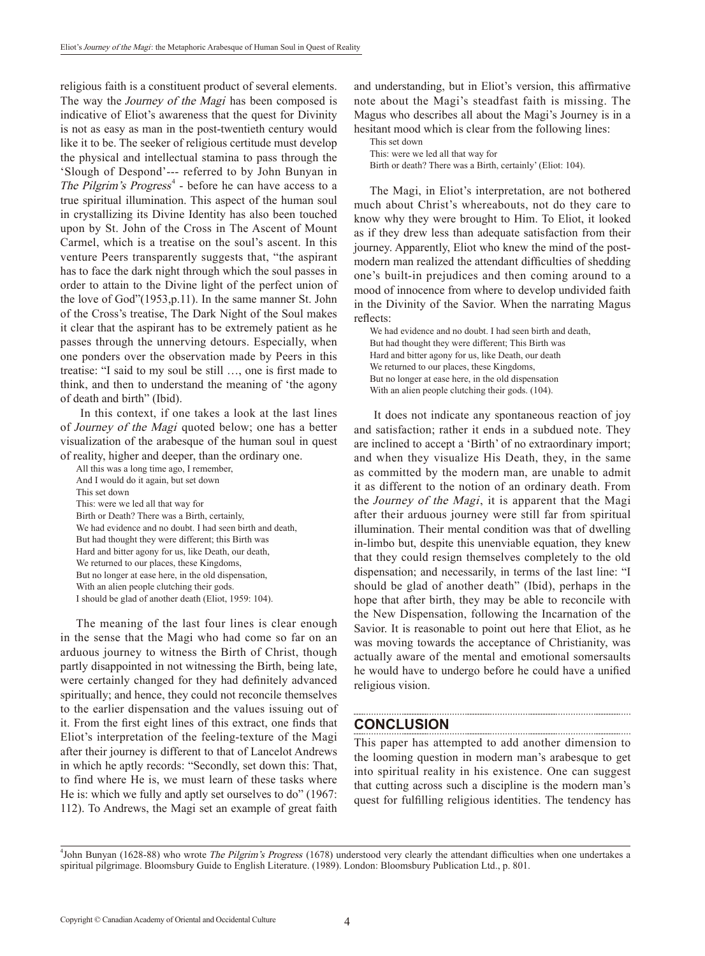religious faith is a constituent product of several elements. The way the *Journey of the Magi* has been composed is indicative of Eliot's awareness that the quest for Divinity is not as easy as man in the post-twentieth century would like it to be. The seeker of religious certitude must develop the physical and intellectual stamina to pass through the 'Slough of Despond'--- referred to by John Bunyan in The Pilgrim's Progress<sup>4</sup> - before he can have access to a true spiritual illumination. This aspect of the human soul in crystallizing its Divine Identity has also been touched upon by St. John of the Cross in The Ascent of Mount Carmel, which is a treatise on the soul's ascent. In this venture Peers transparently suggests that, "the aspirant has to face the dark night through which the soul passes in order to attain to the Divine light of the perfect union of the love of God"(1953,p.11). In the same manner St. John of the Cross's treatise, The Dark Night of the Soul makes it clear that the aspirant has to be extremely patient as he passes through the unnerving detours. Especially, when one ponders over the observation made by Peers in this treatise: "I said to my soul be still …, one is first made to think, and then to understand the meaning of 'the agony of death and birth" (Ibid).

 In this context, if one takes a look at the last lines of Journey of the Magi quoted below; one has a better visualization of the arabesque of the human soul in quest of reality, higher and deeper, than the ordinary one.

All this was a long time ago, I remember, And I would do it again, but set down This set down This: were we led all that way for Birth or Death? There was a Birth, certainly, We had evidence and no doubt. I had seen birth and death, But had thought they were different; this Birth was Hard and bitter agony for us, like Death, our death, We returned to our places, these Kingdoms, But no longer at ease here, in the old dispensation, With an alien people clutching their gods. I should be glad of another death (Eliot, 1959: 104).

The meaning of the last four lines is clear enough in the sense that the Magi who had come so far on an arduous journey to witness the Birth of Christ, though partly disappointed in not witnessing the Birth, being late, were certainly changed for they had definitely advanced spiritually; and hence, they could not reconcile themselves to the earlier dispensation and the values issuing out of it. From the first eight lines of this extract, one finds that Eliot's interpretation of the feeling-texture of the Magi after their journey is different to that of Lancelot Andrews in which he aptly records: "Secondly, set down this: That, to find where He is, we must learn of these tasks where He is: which we fully and aptly set ourselves to do" (1967: 112). To Andrews, the Magi set an example of great faith and understanding, but in Eliot's version, this affirmative note about the Magi's steadfast faith is missing. The Magus who describes all about the Magi's Journey is in a hesitant mood which is clear from the following lines:

This set down This: were we led all that way for Birth or death? There was a Birth, certainly' (Eliot: 104).

The Magi, in Eliot's interpretation, are not bothered much about Christ's whereabouts, not do they care to know why they were brought to Him. To Eliot, it looked as if they drew less than adequate satisfaction from their journey. Apparently, Eliot who knew the mind of the postmodern man realized the attendant difficulties of shedding one's built-in prejudices and then coming around to a mood of innocence from where to develop undivided faith in the Divinity of the Savior. When the narrating Magus reflects:

We had evidence and no doubt. I had seen birth and death, But had thought they were different; This Birth was Hard and bitter agony for us, like Death, our death We returned to our places, these Kingdoms, But no longer at ease here, in the old dispensation With an alien people clutching their gods. (104).

 It does not indicate any spontaneous reaction of joy and satisfaction; rather it ends in a subdued note. They are inclined to accept a 'Birth' of no extraordinary import; and when they visualize His Death, they, in the same as committed by the modern man, are unable to admit it as different to the notion of an ordinary death. From the Journey of the Magi, it is apparent that the Magi after their arduous journey were still far from spiritual illumination. Their mental condition was that of dwelling in-limbo but, despite this unenviable equation, they knew that they could resign themselves completely to the old dispensation; and necessarily, in terms of the last line: "I should be glad of another death" (Ibid), perhaps in the hope that after birth, they may be able to reconcile with the New Dispensation, following the Incarnation of the Savior. It is reasonable to point out here that Eliot, as he was moving towards the acceptance of Christianity, was actually aware of the mental and emotional somersaults he would have to undergo before he could have a unified religious vision.

## **CONCLUSION**

This paper has attempted to add another dimension to the looming question in modern man's arabesque to get into spiritual reality in his existence. One can suggest that cutting across such a discipline is the modern man's quest for fulfilling religious identities. The tendency has

<sup>&</sup>lt;sup>4</sup>John Bunyan (1628-88) who wrote The Pilgrim's Progress (1678) understood very clearly the attendant difficulties when one undertakes a spiritual pilgrimage. Bloomsbury Guide to English Literature. (1989). London: Bloomsbury Publication Ltd., p. 801.